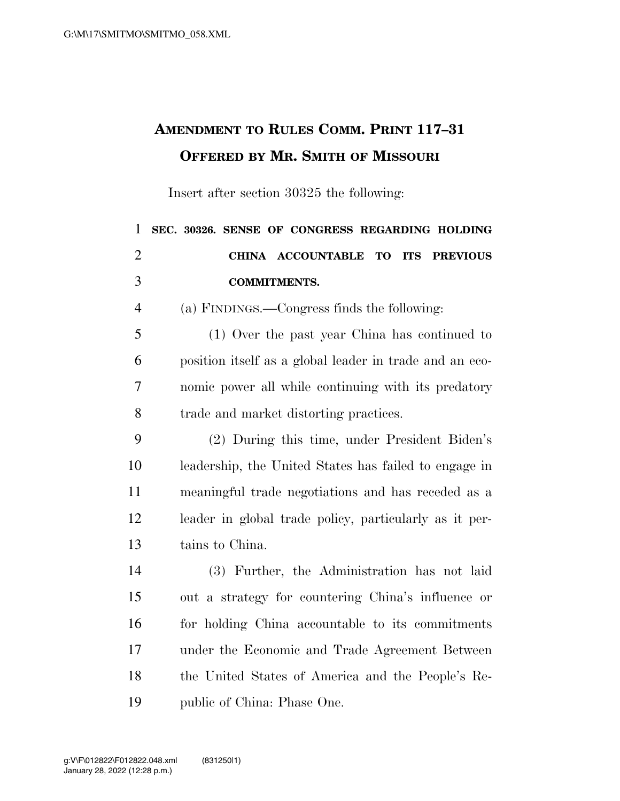## **AMENDMENT TO RULES COMM. PRINT 117–31 OFFERED BY MR. SMITH OF MISSOURI**

Insert after section 30325 the following:

| $\mathbf{1}$   | SEC. 30326. SENSE OF CONGRESS REGARDING HOLDING         |
|----------------|---------------------------------------------------------|
| $\overline{2}$ | CHINA ACCOUNTABLE TO ITS PREVIOUS                       |
| 3              | <b>COMMITMENTS.</b>                                     |
| 4              | (a) FINDINGS.—Congress finds the following:             |
| 5              | (1) Over the past year China has continued to           |
| 6              | position itself as a global leader in trade and an eco- |
| 7              | nomic power all while continuing with its predatory     |
| 8              | trade and market distorting practices.                  |
| 9              | (2) During this time, under President Biden's           |
| 10             | leadership, the United States has failed to engage in   |
| 11             | meaningful trade negotiations and has receded as a      |
| 12             | leader in global trade policy, particularly as it per-  |
| 13             | tains to China.                                         |
| 14             | (3) Further, the Administration has not laid            |
| 15             | out a strategy for countering China's influence or      |
| 16             | for holding China accountable to its commitments        |
| 17             | under the Economic and Trade Agreement Between          |
| 18             | the United States of America and the People's Re-       |
| 19             | public of China: Phase One.                             |